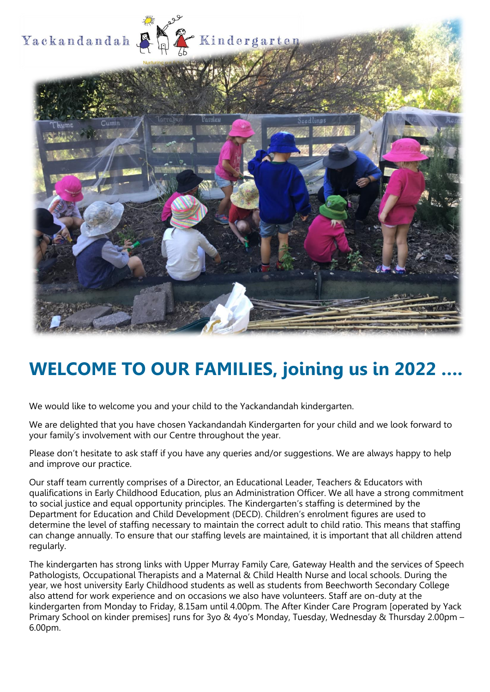

# **WELCOME TO OUR FAMILIES, joining us in 2022 ….**

We would like to welcome you and your child to the Yackandandah kindergarten.

We are delighted that you have chosen Yackandandah Kindergarten for your child and we look forward to your family's involvement with our Centre throughout the year.

Please don't hesitate to ask staff if you have any queries and/or suggestions. We are always happy to help and improve our practice.

Our staff team currently comprises of a Director, an Educational Leader, Teachers & Educators with qualifications in Early Childhood Education, plus an Administration Officer. We all have a strong commitment to social justice and equal opportunity principles. The Kindergarten's staffing is determined by the Department for Education and Child Development (DECD). Children's enrolment figures are used to determine the level of staffing necessary to maintain the correct adult to child ratio. This means that staffing can change annually. To ensure that our staffing levels are maintained, it is important that all children attend regularly.

The kindergarten has strong links with Upper Murray Family Care, Gateway Health and the services of Speech Pathologists, Occupational Therapists and a Maternal & Child Health Nurse and local schools. During the year, we host university Early Childhood students as well as students from Beechworth Secondary College also attend for work experience and on occasions we also have volunteers. Staff are on-duty at the kindergarten from Monday to Friday, 8.15am until 4.00pm. The After Kinder Care Program [operated by Yack Primary School on kinder premises] runs for 3yo & 4yo's Monday, Tuesday, Wednesday & Thursday 2.00pm – 6.00pm.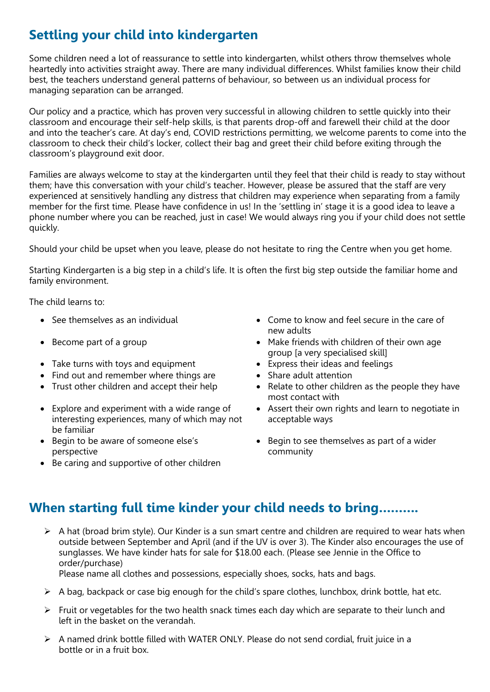# **Settling your child into kindergarten**

Some children need a lot of reassurance to settle into kindergarten, whilst others throw themselves whole heartedly into activities straight away. There are many individual differences. Whilst families know their child best, the teachers understand general patterns of behaviour, so between us an individual process for managing separation can be arranged.

Our policy and a practice, which has proven very successful in allowing children to settle quickly into their classroom and encourage their self-help skills, is that parents drop-off and farewell their child at the door and into the teacher's care. At day's end, COVID restrictions permitting, we welcome parents to come into the classroom to check their child's locker, collect their bag and greet their child before exiting through the classroom's playground exit door.

Families are always welcome to stay at the kindergarten until they feel that their child is ready to stay without them; have this conversation with your child's teacher. However, please be assured that the staff are very experienced at sensitively handling any distress that children may experience when separating from a family member for the first time. Please have confidence in us! In the 'settling in' stage it is a good idea to leave a phone number where you can be reached, just in case! We would always ring you if your child does not settle quickly.

Should your child be upset when you leave, please do not hesitate to ring the Centre when you get home.

Starting Kindergarten is a big step in a child's life. It is often the first big step outside the familiar home and family environment.

The child learns to:

- 
- 
- Take turns with toys and equipment Express their ideas and feelings
- Find out and remember where things are Share adult attention
- 
- Explore and experiment with a wide range of interesting experiences, many of which may not be familiar
- Begin to be aware of someone else's perspective
- Be caring and supportive of other children
- See themselves as an individual Come to know and feel secure in the care of new adults
- Become part of a group **•** Make friends with children of their own age group [a very specialised skill]
	-
	-
- Trust other children and accept their help Relate to other children as the people they have most contact with
	- Assert their own rights and learn to negotiate in acceptable ways
	- Begin to see themselves as part of a wider community

### **When starting full time kinder your child needs to bring……….**

➢ A hat (broad brim style). Our Kinder is a sun smart centre and children are required to wear hats when outside between September and April (and if the UV is over 3). The Kinder also encourages the use of sunglasses. We have kinder hats for sale for \$18.00 each. (Please see Jennie in the Office to order/purchase)

Please name all clothes and possessions, especially shoes, socks, hats and bags.

- $\triangleright$  A bag, backpack or case big enough for the child's spare clothes, lunchbox, drink bottle, hat etc.
- $\triangleright$  Fruit or vegetables for the two health snack times each day which are separate to their lunch and left in the basket on the verandah.
- ➢ A named drink bottle filled with WATER ONLY. Please do not send cordial, fruit juice in a bottle or in a fruit box.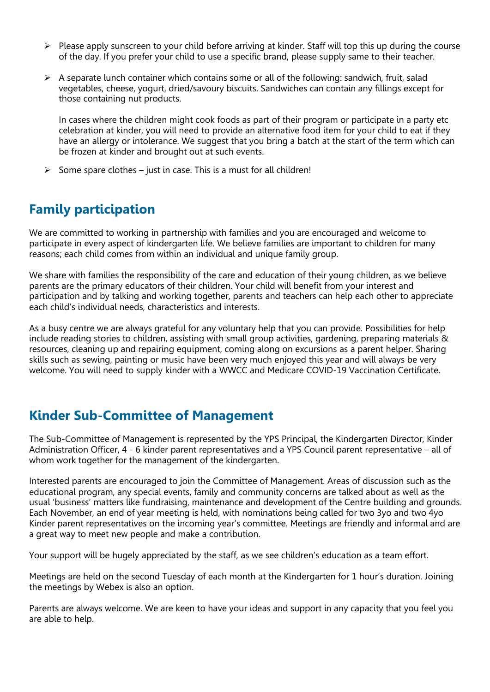- $\triangleright$  Please apply sunscreen to your child before arriving at kinder. Staff will top this up during the course of the day. If you prefer your child to use a specific brand, please supply same to their teacher.
- $\triangleright$  A separate lunch container which contains some or all of the following: sandwich, fruit, salad vegetables, cheese, yogurt, dried/savoury biscuits. Sandwiches can contain any fillings except for those containing nut products.

In cases where the children might cook foods as part of their program or participate in a party etc celebration at kinder, you will need to provide an alternative food item for your child to eat if they have an allergy or intolerance. We suggest that you bring a batch at the start of the term which can be frozen at kinder and brought out at such events.

 $\triangleright$  Some spare clothes – just in case. This is a must for all children!

# **Family participation**

We are committed to working in partnership with families and you are encouraged and welcome to participate in every aspect of kindergarten life. We believe families are important to children for many reasons; each child comes from within an individual and unique family group.

We share with families the responsibility of the care and education of their young children, as we believe parents are the primary educators of their children. Your child will benefit from your interest and participation and by talking and working together, parents and teachers can help each other to appreciate each child's individual needs, characteristics and interests.

As a busy centre we are always grateful for any voluntary help that you can provide. Possibilities for help include reading stories to children, assisting with small group activities, gardening, preparing materials & resources, cleaning up and repairing equipment, coming along on excursions as a parent helper. Sharing skills such as sewing, painting or music have been very much enjoyed this year and will always be very welcome. You will need to supply kinder with a WWCC and Medicare COVID-19 Vaccination Certificate.

### **Kinder Sub-Committee of Management**

The Sub-Committee of Management is represented by the YPS Principal, the Kindergarten Director, Kinder Administration Officer, 4 - 6 kinder parent representatives and a YPS Council parent representative – all of whom work together for the management of the kindergarten.

Interested parents are encouraged to join the Committee of Management. Areas of discussion such as the educational program, any special events, family and community concerns are talked about as well as the usual 'business' matters like fundraising, maintenance and development of the Centre building and grounds. Each November, an end of year meeting is held, with nominations being called for two 3yo and two 4yo Kinder parent representatives on the incoming year's committee. Meetings are friendly and informal and are a great way to meet new people and make a contribution.

Your support will be hugely appreciated by the staff, as we see children's education as a team effort.

Meetings are held on the second Tuesday of each month at the Kindergarten for 1 hour's duration. Joining the meetings by Webex is also an option.

Parents are always welcome. We are keen to have your ideas and support in any capacity that you feel you are able to help.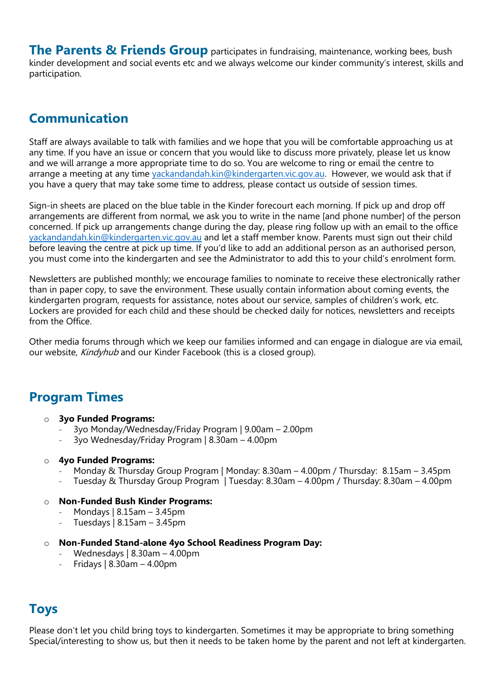**The Parents & Friends Group** participates in fundraising, maintenance, working bees, bush kinder development and social events etc and we always welcome our kinder community's interest, skills and participation.

### **Communication**

Staff are always available to talk with families and we hope that you will be comfortable approaching us at any time. If you have an issue or concern that you would like to discuss more privately, please let us know and we will arrange a more appropriate time to do so. You are welcome to ring or email the centre to arrange a meeting at any time [yackandandah.kin@kindergarten.vic.gov.au.](mailto:yackandandah.kin@kindergarten.vic.gov.au) However, we would ask that if you have a query that may take some time to address, please contact us outside of session times.

Sign-in sheets are placed on the blue table in the Kinder forecourt each morning. If pick up and drop off arrangements are different from normal, we ask you to write in the name [and phone number] of the person concerned. If pick up arrangements change during the day, please ring follow up with an email to the office [yackandandah.kin@kindergarten.vic.gov.au](mailto:yackandandah.kin@kindergarten.vic.gov.au) and let a staff member know. Parents must sign out their child before leaving the centre at pick up time. If you'd like to add an additional person as an authorised person, you must come into the kindergarten and see the Administrator to add this to your child's enrolment form.

Newsletters are published monthly; we encourage families to nominate to receive these electronically rather than in paper copy, to save the environment. These usually contain information about coming events, the kindergarten program, requests for assistance, notes about our service, samples of children's work, etc. Lockers are provided for each child and these should be checked daily for notices, newsletters and receipts from the Office.

Other media forums through which we keep our families informed and can engage in dialogue are via email, our website, Kindyhub and our Kinder Facebook (this is a closed group).

### **Program Times**

- o **3yo Funded Programs:**
	- 3yo Monday/Wednesday/Friday Program | 9.00am 2.00pm
	- 3yo Wednesday/Friday Program | 8.30am 4.00pm

#### o **4yo Funded Programs:**

- Monday & Thursday Group Program | Monday: 8.30am 4.00pm / Thursday: 8.15am 3.45pm
- Tuesday & Thursday Group Program | Tuesday: 8.30am 4.00pm / Thursday: 8.30am 4.00pm

#### o **Non-Funded Bush Kinder Programs:**

- Mondays | 8.15am 3.45pm
- Tuesdays | 8.15am 3.45pm
- o **Non-Funded Stand-alone 4yo School Readiness Program Day:**
	- Wednesdays | 8.30am 4.00pm
	- Fridays  $| 8.30$ am 4.00pm

### **Toys**

Please don't let you child bring toys to kindergarten. Sometimes it may be appropriate to bring something Special/interesting to show us, but then it needs to be taken home by the parent and not left at kindergarten.